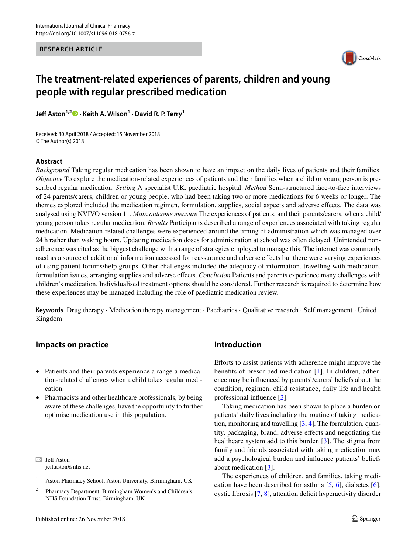### **RESEARCH ARTICLE**



# **The treatment‑related experiences of parents, children and young people with regular prescribed medication**

**Jef Aston1,2  [·](http://orcid.org/0000-0002-7532-198X) Keith A. Wilson1 · David R. P. Terry<sup>1</sup>**

Received: 30 April 2018 / Accepted: 15 November 2018 © The Author(s) 2018

### **Abstract**

*Background* Taking regular medication has been shown to have an impact on the daily lives of patients and their families. *Objective* To explore the medication-related experiences of patients and their families when a child or young person is prescribed regular medication. *Setting* A specialist U.K. paediatric hospital. *Method* Semi-structured face-to-face interviews of 24 parents/carers, children or young people, who had been taking two or more medications for 6 weeks or longer. The themes explored included the medication regimen, formulation, supplies, social aspects and adverse efects. The data was analysed using NVIVO version 11. *Main outcome measure* The experiences of patients, and their parents/carers, when a child/ young person takes regular medication. *Results* Participants described a range of experiences associated with taking regular medication. Medication-related challenges were experienced around the timing of administration which was managed over 24 h rather than waking hours. Updating medication doses for administration at school was often delayed. Unintended nonadherence was cited as the biggest challenge with a range of strategies employed to manage this. The internet was commonly used as a source of additional information accessed for reassurance and adverse efects but there were varying experiences of using patient forums/help groups. Other challenges included the adequacy of information, travelling with medication, formulation issues, arranging supplies and adverse efects. *Conclusion* Patients and parents experience many challenges with children's medication. Individualised treatment options should be considered. Further research is required to determine how these experiences may be managed including the role of paediatric medication review.

**Keywords** Drug therapy · Medication therapy management · Paediatrics · Qualitative research · Self management · United Kingdom

## **Impacts on practice**

- Patients and their parents experience a range a medication-related challenges when a child takes regular medication.
- Pharmacists and other healthcare professionals, by being aware of these challenges, have the opportunity to further optimise medication use in this population.

 $\boxtimes$  Jeff Aston jef.aston@nhs.net

- <sup>1</sup> Aston Pharmacy School, Aston University, Birmingham, UK
- <sup>2</sup> Pharmacy Department, Birmingham Women's and Children's NHS Foundation Trust, Birmingham, UK

# **Introduction**

Eforts to assist patients with adherence might improve the benefts of prescribed medication [\[1\]](#page-7-0). In children, adherence may be infuenced by parents'/carers' beliefs about the condition, regimen, child resistance, daily life and health professional infuence [[2\]](#page-7-1).

Taking medication has been shown to place a burden on patients' daily lives including the routine of taking medication, monitoring and travelling [\[3,](#page-7-2) [4\]](#page-7-3). The formulation, quantity, packaging, brand, adverse efects and negotiating the healthcare system add to this burden [\[3](#page-7-2)]. The stigma from family and friends associated with taking medication may add a psychological burden and infuence patients' beliefs about medication [[3\]](#page-7-2).

The experiences of children, and families, taking medication have been described for asthma [\[5](#page-7-4), [6\]](#page-7-5), diabetes [\[6](#page-7-5)], cystic fibrosis [\[7](#page-7-6), [8](#page-7-7)], attention deficit hyperactivity disorder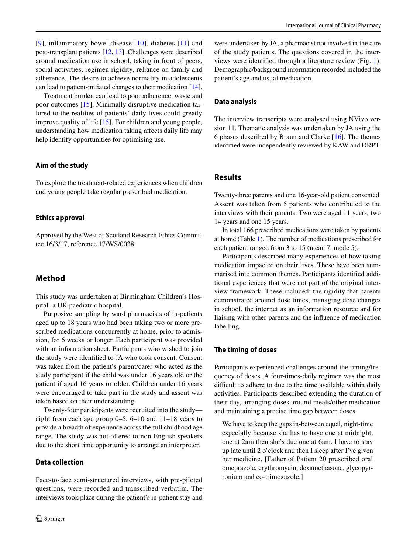[[9\]](#page-7-8), inflammatory bowel disease  $[10]$ , diabetes  $[11]$  $[11]$  $[11]$  and post-transplant patients [[12,](#page-7-11) [13](#page-7-12)]. Challenges were described around medication use in school, taking in front of peers, social activities, regimen rigidity, reliance on family and adherence. The desire to achieve normality in adolescents can lead to patient-initiated changes to their medication [\[14](#page-7-13)].

Treatment burden can lead to poor adherence, waste and poor outcomes [\[15](#page-8-0)]. Minimally disruptive medication tailored to the realities of patients' daily lives could greatly improve quality of life [\[15](#page-8-0)]. For children and young people, understanding how medication taking afects daily life may help identify opportunities for optimising use.

### **Aim of the study**

To explore the treatment-related experiences when children and young people take regular prescribed medication.

### **Ethics approval**

Approved by the West of Scotland Research Ethics Committee 16/3/17, reference 17/WS/0038.

## **Method**

This study was undertaken at Birmingham Children's Hospital -a UK paediatric hospital.

Purposive sampling by ward pharmacists of in-patients aged up to 18 years who had been taking two or more prescribed medications concurrently at home, prior to admission, for 6 weeks or longer. Each participant was provided with an information sheet. Participants who wished to join the study were identifed to JA who took consent. Consent was taken from the patient's parent/carer who acted as the study participant if the child was under 16 years old or the patient if aged 16 years or older. Children under 16 years were encouraged to take part in the study and assent was taken based on their understanding.

Twenty-four participants were recruited into the study eight from each age group 0–5, 6–10 and 11–18 years to provide a breadth of experience across the full childhood age range. The study was not offered to non-English speakers due to the short time opportunity to arrange an interpreter.

### **Data collection**

Face-to-face semi-structured interviews, with pre-piloted questions, were recorded and transcribed verbatim. The interviews took place during the patient's in-patient stay and

were undertaken by JA, a pharmacist not involved in the care of the study patients. The questions covered in the interviews were identifed through a literature review (Fig. [1](#page-2-0)). Demographic/background information recorded included the patient's age and usual medication.

#### **Data analysis**

The interview transcripts were analysed using NVivo version 11. Thematic analysis was undertaken by JA using the 6 phases described by Braun and Clarke [[16\]](#page-8-1). The themes identifed were independently reviewed by KAW and DRPT.

### **Results**

Twenty-three parents and one 16-year-old patient consented. Assent was taken from 5 patients who contributed to the interviews with their parents. Two were aged 11 years, two 14 years and one 15 years.

In total 166 prescribed medications were taken by patients at home (Table [1\)](#page-3-0). The number of medications prescribed for each patient ranged from 3 to 15 (mean 7, mode 5).

Participants described many experiences of how taking medication impacted on their lives. These have been summarised into common themes. Participants identifed additional experiences that were not part of the original interview framework. These included: the rigidity that parents demonstrated around dose times, managing dose changes in school, the internet as an information resource and for liaising with other parents and the infuence of medication labelling.

#### **The timing of doses**

Participants experienced challenges around the timing/frequency of doses. A four-times-daily regimen was the most difficult to adhere to due to the time available within daily activities. Participants described extending the duration of their day, arranging doses around meals/other medication and maintaining a precise time gap between doses.

We have to keep the gaps in-between equal, night-time especially because she has to have one at midnight, one at 2am then she's due one at 6am. I have to stay up late until 2 o'clock and then I sleep after I've given her medicine. [Father of Patient 20 prescribed oral omeprazole, erythromycin, dexamethasone, glycopyrronium and co-trimoxazole.]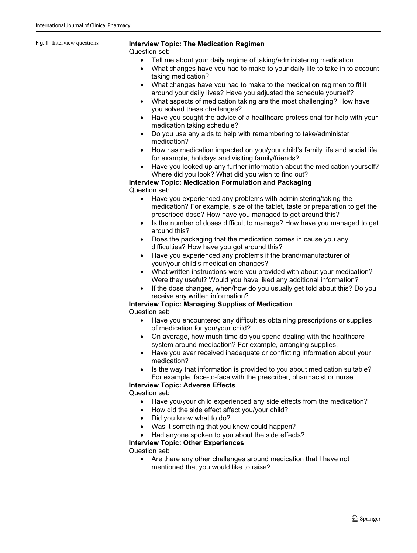## <span id="page-2-0"></span>**Fig. 1** Interview questions **Interview Topic: The Medication Regimen**

Question set:

- Tell me about your daily regime of taking/administering medication.
- What changes have you had to make to your daily life to take in to account taking medication?
- What changes have you had to make to the medication regimen to fit it around your daily lives? Have you adjusted the schedule yourself?
- What aspects of medication taking are the most challenging? How have you solved these challenges?
- Have you sought the advice of a healthcare professional for help with your medication taking schedule?
- Do you use any aids to help with remembering to take/administer medication?
- How has medication impacted on you/your child's family life and social life for example, holidays and visiting family/friends?
- Have you looked up any further information about the medication yourself? Where did you look? What did you wish to find out?

### **Interview Topic: Medication Formulation and Packaging** Question set:

- Have you experienced any problems with administering/taking the medication? For example, size of the tablet, taste or preparation to get the prescribed dose? How have you managed to get around this?
- Is the number of doses difficult to manage? How have you managed to get around this?
- Does the packaging that the medication comes in cause you any difficulties? How have you got around this?
- Have you experienced any problems if the brand/manufacturer of your/your child's medication changes?
- What written instructions were you provided with about your medication? Were they useful? Would you have liked any additional information?
- If the dose changes, when/how do you usually get told about this? Do you receive any written information?

# **Interview Topic: Managing Supplies of Medication**

Question set:

- Have you encountered any difficulties obtaining prescriptions or supplies of medication for you/your child?
- On average, how much time do you spend dealing with the healthcare system around medication? For example, arranging supplies.
- Have you ever received inadequate or conflicting information about your medication?
- Is the way that information is provided to you about medication suitable? For example, face-to-face with the prescriber, pharmacist or nurse.

**Interview Topic: Adverse Effects**

Question set:

- Have you/your child experienced any side effects from the medication?
- How did the side effect affect you/your child?
- Did you know what to do?
- Was it something that you knew could happen?
- Had anyone spoken to you about the side effects?

## **Interview Topic: Other Experiences**

Question set:

• Are there any other challenges around medication that I have not mentioned that you would like to raise?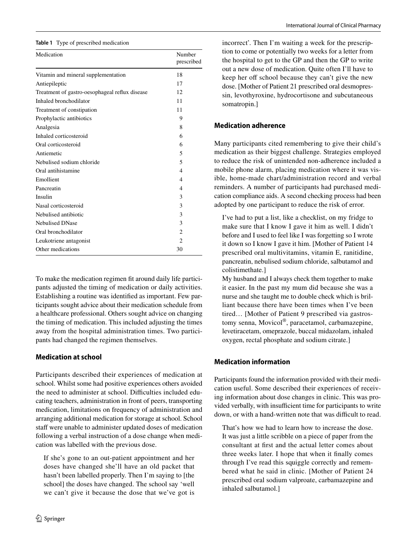<span id="page-3-0"></span>

| Medication                                     | Number<br>prescribed |
|------------------------------------------------|----------------------|
| Vitamin and mineral supplementation            | 18                   |
| Antiepileptic                                  | 17                   |
| Treatment of gastro-oesophageal reflux disease | 12                   |
| Inhaled bronchodilator                         | 11                   |
| Treatment of constipation                      | 11                   |
| Prophylactic antibiotics                       | 9                    |
| Analgesia                                      | 8                    |
| Inhaled corticosteroid                         | 6                    |
| Oral corticosteroid                            | 6                    |
| Antiemetic                                     | 5                    |
| Nebulised sodium chloride                      | 5                    |
| Oral antihistamine                             | 4                    |
| Emollient                                      | $\overline{4}$       |
| Pancreatin                                     | 4                    |
| Insulin                                        | 3                    |
| Nasal corticosteroid                           | 3                    |
| Nebulised antibiotic                           | 3                    |
| <b>Nebulised DNase</b>                         | 3                    |
| Oral bronchodilator                            | $\overline{c}$       |
| Leukotriene antagonist                         | $\overline{2}$       |
| Other medications                              | 30                   |

To make the medication regimen ft around daily life participants adjusted the timing of medication or daily activities. Establishing a routine was identifed as important. Few participants sought advice about their medication schedule from a healthcare professional. Others sought advice on changing the timing of medication. This included adjusting the times away from the hospital administration times. Two participants had changed the regimen themselves.

# **Medication at school**

Participants described their experiences of medication at school. Whilst some had positive experiences others avoided the need to administer at school. Difficulties included educating teachers, administration in front of peers, transporting medication, limitations on frequency of administration and arranging additional medication for storage at school. School staff were unable to administer updated doses of medication following a verbal instruction of a dose change when medication was labelled with the previous dose.

If she's gone to an out-patient appointment and her doses have changed she'll have an old packet that hasn't been labelled properly. Then I'm saying to [the school] the doses have changed. The school say 'well we can't give it because the dose that we've got is

incorrect'. Then I'm waiting a week for the prescription to come or potentially two weeks for a letter from the hospital to get to the GP and then the GP to write out a new dose of medication. Quite often I'll have to keep her off school because they can't give the new dose. [Mother of Patient 21 prescribed oral desmopressin, levothyroxine, hydrocortisone and subcutaneous somatropin.]

# **Medication adherence**

Many participants cited remembering to give their child's medication as their biggest challenge. Strategies employed to reduce the risk of unintended non-adherence included a mobile phone alarm, placing medication where it was visible, home-made chart/administration record and verbal reminders. A number of participants had purchased medication compliance aids. A second checking process had been adopted by one participant to reduce the risk of error.

I've had to put a list, like a checklist, on my fridge to make sure that I know I gave it him as well. I didn't before and I used to feel like I was forgetting so I wrote it down so I know I gave it him. [Mother of Patient 14 prescribed oral multivitamins, vitamin E, ranitidine, pancreatin, nebulised sodium chloride, salbutamol and colistimethate.]

My husband and I always check them together to make it easier. In the past my mum did because she was a nurse and she taught me to double check which is brilliant because there have been times when I've been tired… [Mother of Patient 9 prescribed via gastrostomy senna, Movicol®, paracetamol, carbamazepine, levetiracetam, omeprazole, buccal midazolam, inhaled oxygen, rectal phosphate and sodium citrate.]

# **Medication information**

Participants found the information provided with their medication useful. Some described their experiences of receiving information about dose changes in clinic. This was provided verbally, with insufficient time for participants to write down, or with a hand-written note that was difficult to read.

That's how we had to learn how to increase the dose. It was just a little scribble on a piece of paper from the consultant at frst and the actual letter comes about three weeks later. I hope that when it fnally comes through I've read this squiggle correctly and remembered what he said in clinic. [Mother of Patient 24 prescribed oral sodium valproate, carbamazepine and inhaled salbutamol.]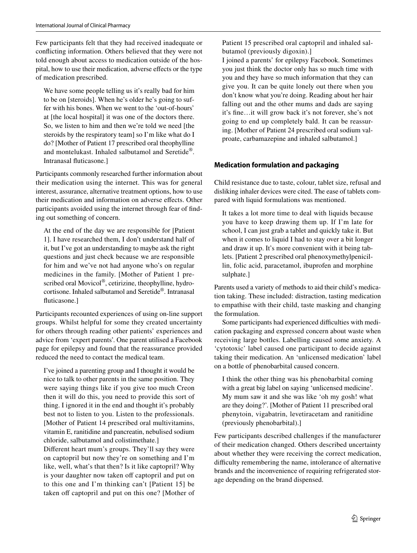Few participants felt that they had received inadequate or conficting information. Others believed that they were not told enough about access to medication outside of the hospital, how to use their medication, adverse efects or the type of medication prescribed.

We have some people telling us it's really bad for him to be on [steroids]. When he's older he's going to suffer with his bones. When we went to the 'out-of-hours' at [the local hospital] it was one of the doctors there. So, we listen to him and then we're told we need [the steroids by the respiratory team] so I'm like what do I do? [Mother of Patient 17 prescribed oral theophylline and montelukast. Inhaled salbutamol and Seretide®. Intranasal futicasone.]

Participants commonly researched further information about their medication using the internet. This was for general interest, assurance, alternative treatment options, how to use their medication and information on adverse efects. Other participants avoided using the internet through fear of fnding out something of concern.

At the end of the day we are responsible for [Patient 1]. I have researched them, I don't understand half of it, but I've got an understanding to maybe ask the right questions and just check because we are responsible for him and we've not had anyone who's on regular medicines in the family. [Mother of Patient 1 prescribed oral Movicol®, cetirizine, theophylline, hydrocortisone. Inhaled salbutamol and Seretide®. Intranasal fluticasone.]

Participants recounted experiences of using on-line support groups. Whilst helpful for some they created uncertainty for others through reading other patients' experiences and advice from 'expert parents'. One parent utilised a Facebook page for epilepsy and found that the reassurance provided reduced the need to contact the medical team.

I've joined a parenting group and I thought it would be nice to talk to other parents in the same position. They were saying things like if you give too much Creon then it will do this, you need to provide this sort of thing. I ignored it in the end and thought it's probably best not to listen to you. Listen to the professionals. [Mother of Patient 14 prescribed oral multivitamins, vitamin E, ranitidine and pancreatin, nebulised sodium chloride, salbutamol and colistimethate.]

Diferent heart mum's groups. They'll say they were on captopril but now they're on something and I'm like, well, what's that then? Is it like captopril? Why is your daughter now taken off captopril and put on to this one and I'm thinking can't [Patient 15] be taken off captopril and put on this one? [Mother of Patient 15 prescribed oral captopril and inhaled salbutamol (previously digoxin).]

I joined a parents' for epilepsy Facebook. Sometimes you just think the doctor only has so much time with you and they have so much information that they can give you. It can be quite lonely out there when you don't know what you're doing. Reading about her hair falling out and the other mums and dads are saying it's fne…it will grow back it's not forever, she's not going to end up completely bald. It can be reassuring. [Mother of Patient 24 prescribed oral sodium valproate, carbamazepine and inhaled salbutamol.]

## **Medication formulation and packaging**

Child resistance due to taste, colour, tablet size, refusal and disliking inhaler devices were cited. The ease of tablets compared with liquid formulations was mentioned.

It takes a lot more time to deal with liquids because you have to keep drawing them up. If I'm late for school, I can just grab a tablet and quickly take it. But when it comes to liquid I had to stay over a bit longer and draw it up. It's more convenient with it being tablets. [Patient 2 prescribed oral phenoxymethylpenicillin, folic acid, paracetamol, ibuprofen and morphine sulphate.]

Parents used a variety of methods to aid their child's medication taking. These included: distraction, tasting medication to empathise with their child, taste masking and changing the formulation.

Some participants had experienced difficulties with medication packaging and expressed concern about waste when receiving large bottles. Labelling caused some anxiety. A 'cytotoxic' label caused one participant to decide against taking their medication. An 'unlicensed medication' label on a bottle of phenobarbital caused concern.

I think the other thing was his phenobarbital coming with a great big label on saying 'unlicensed medicine'. My mum saw it and she was like 'oh my gosh! what are they doing?'. [Mother of Patient 11 prescribed oral phenytoin, vigabatrin, levetiracetam and ranitidine (previously phenobarbital).]

Few participants described challenges if the manufacturer of their medication changed. Others described uncertainty about whether they were receiving the correct medication, difficulty remembering the name, intolerance of alternative brands and the inconvenience of requiring refrigerated storage depending on the brand dispensed.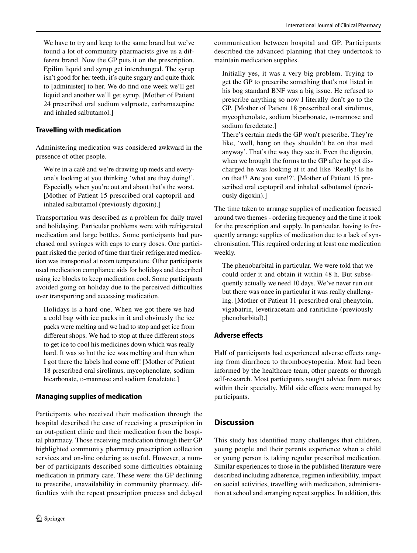We have to try and keep to the same brand but we've found a lot of community pharmacists give us a different brand. Now the GP puts it on the prescription. Epilim liquid and syrup get interchanged. The syrup isn't good for her teeth, it's quite sugary and quite thick to [administer] to her. We do fnd one week we'll get liquid and another we'll get syrup. [Mother of Patient 24 prescribed oral sodium valproate, carbamazepine and inhaled salbutamol.]

## **Travelling with medication**

Administering medication was considered awkward in the presence of other people.

We're in a café and we're drawing up meds and everyone's looking at you thinking 'what are they doing!'. Especially when you're out and about that's the worst. [Mother of Patient 15 prescribed oral captopril and inhaled salbutamol (previously digoxin).]

Transportation was described as a problem for daily travel and holidaying. Particular problems were with refrigerated medication and large bottles. Some participants had purchased oral syringes with caps to carry doses. One participant risked the period of time that their refrigerated medication was transported at room temperature. Other participants used medication compliance aids for holidays and described using ice blocks to keep medication cool. Some participants avoided going on holiday due to the perceived difficulties over transporting and accessing medication.

Holidays is a hard one. When we got there we had a cold bag with ice packs in it and obviously the ice packs were melting and we had to stop and get ice from diferent shops. We had to stop at three diferent stops to get ice to cool his medicines down which was really hard. It was so hot the ice was melting and then when I got there the labels had come of! [Mother of Patient 18 prescribed oral sirolimus, mycophenolate, sodium bicarbonate, p-mannose and sodium feredetate.]

## **Managing supplies of medication**

Participants who received their medication through the hospital described the ease of receiving a prescription in an out-patient clinic and their medication from the hospital pharmacy. Those receiving medication through their GP highlighted community pharmacy prescription collection services and on-line ordering as useful. However, a number of participants described some difficulties obtaining medication in primary care. These were: the GP declining to prescribe, unavailability in community pharmacy, diffculties with the repeat prescription process and delayed communication between hospital and GP. Participants described the advanced planning that they undertook to maintain medication supplies.

Initially yes, it was a very big problem. Trying to get the GP to prescribe something that's not listed in his bog standard BNF was a big issue. He refused to prescribe anything so now I literally don't go to the GP. [Mother of Patient 18 prescribed oral sirolimus, mycophenolate, sodium bicarbonate, p-mannose and sodium feredetate.]

There's certain meds the GP won't prescribe. They're like, 'well, hang on they shouldn't be on that med anyway'. That's the way they see it. Even the digoxin, when we brought the forms to the GP after he got discharged he was looking at it and like 'Really! Is he on that!? Are you sure!?'. [Mother of Patient 15 prescribed oral captopril and inhaled salbutamol (previously digoxin).]

The time taken to arrange supplies of medication focussed around two themes - ordering frequency and the time it took for the prescription and supply. In particular, having to frequently arrange supplies of medication due to a lack of synchronisation. This required ordering at least one medication weekly.

The phenobarbital in particular. We were told that we could order it and obtain it within 48 h. But subsequently actually we need 10 days. We've never run out but there was once in particular it was really challenging. [Mother of Patient 11 prescribed oral phenytoin, vigabatrin, levetiracetam and ranitidine (previously phenobarbital).]

## **Adverse efects**

Half of participants had experienced adverse effects ranging from diarrhoea to thrombocytopenia. Most had been informed by the healthcare team, other parents or through self-research. Most participants sought advice from nurses within their specialty. Mild side effects were managed by participants.

# **Discussion**

This study has identifed many challenges that children, young people and their parents experience when a child or young person is taking regular prescribed medication. Similar experiences to those in the published literature were described including adherence, regimen infexibility, impact on social activities, travelling with medication, administration at school and arranging repeat supplies. In addition, this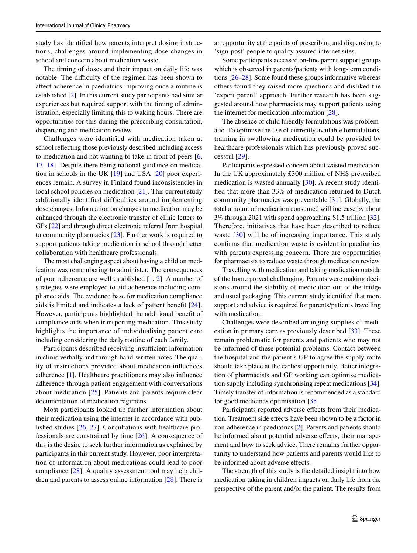study has identifed how parents interpret dosing instructions, challenges around implementing dose changes in school and concern about medication waste.

The timing of doses and their impact on daily life was notable. The difficulty of the regimen has been shown to afect adherence in paediatrics improving once a routine is established [[2\]](#page-7-1). In this current study participants had similar experiences but required support with the timing of administration, especially limiting this to waking hours. There are opportunities for this during the prescribing consultation, dispensing and medication review.

Challenges were identified with medication taken at school refecting those previously described including access to medication and not wanting to take in front of peers [[6,](#page-7-5) [17](#page-8-2), [18\]](#page-8-3). Despite there being national guidance on medication in schools in the UK [[19\]](#page-8-4) and USA [[20](#page-8-5)] poor experiences remain. A survey in Finland found inconsistencies in local school policies on medication [[21\]](#page-8-6). This current study additionally identified difficulties around implementing dose changes. Information on changes to medication may be enhanced through the electronic transfer of clinic letters to GPs [\[22](#page-8-7)] and through direct electronic referral from hospital to community pharmacies [[23](#page-8-8)]. Further work is required to support patients taking medication in school through better collaboration with healthcare professionals.

The most challenging aspect about having a child on medication was remembering to administer. The consequences of poor adherence are well established [\[1](#page-7-0), [2\]](#page-7-1). A number of strategies were employed to aid adherence including compliance aids. The evidence base for medication compliance aids is limited and indicates a lack of patient beneft [[24](#page-8-9)]. However, participants highlighted the additional beneft of compliance aids when transporting medication. This study highlights the importance of individualising patient care including considering the daily routine of each family.

Participants described receiving insufficient information in clinic verbally and through hand-written notes. The quality of instructions provided about medication infuences adherence [\[1](#page-7-0)]. Healthcare practitioners may also infuence adherence through patient engagement with conversations about medication [[25](#page-8-10)]. Patients and parents require clear documentation of medication regimens.

Most participants looked up further information about their medication using the internet in accordance with published studies [[26,](#page-8-11) [27\]](#page-8-12). Consultations with healthcare professionals are constrained by time  $[26]$  $[26]$ . A consequence of this is the desire to seek further information as explained by participants in this current study. However, poor interpretation of information about medications could lead to poor compliance [[28](#page-8-13)]. A quality assessment tool may help children and parents to assess online information [\[28](#page-8-13)]. There is an opportunity at the points of prescribing and dispensing to 'sign-post' people to quality assured internet sites.

Some participants accessed on-line parent support groups which is observed in parents/patients with long-term conditions [[26](#page-8-11)[–28](#page-8-13)]. Some found these groups informative whereas others found they raised more questions and disliked the 'expert parent' approach. Further research has been suggested around how pharmacists may support patients using the internet for medication information [\[28](#page-8-13)].

The absence of child friendly formulations was problematic. To optimise the use of currently available formulations, training in swallowing medication could be provided by healthcare professionals which has previously proved successful [\[29](#page-8-14)].

Participants expressed concern about wasted medication. In the UK approximately £300 million of NHS prescribed medication is wasted annually [[30](#page-8-15)]. A recent study identifed that more than 33% of medication returned to Dutch community pharmacies was preventable [[31\]](#page-8-16). Globally, the total amount of medication consumed will increase by about 3% through 2021 with spend approaching \$1.5 trillion [\[32](#page-8-17)]. Therefore, initiatives that have been described to reduce waste [[30](#page-8-15)] will be of increasing importance. This study confrms that medication waste is evident in paediatrics with parents expressing concern. There are opportunities for pharmacists to reduce waste through medication review.

Travelling with medication and taking medication outside of the home proved challenging. Parents were making decisions around the stability of medication out of the fridge and usual packaging. This current study identifed that more support and advice is required for parents/patients travelling with medication.

Challenges were described arranging supplies of medication in primary care as previously described [\[33](#page-8-18)]. These remain problematic for parents and patients who may not be informed of these potential problems. Contact between the hospital and the patient's GP to agree the supply route should take place at the earliest opportunity. Better integration of pharmacists and GP working can optimise medication supply including synchronising repeat medications [[34](#page-8-19)]. Timely transfer of information is recommended as a standard for good medicines optimisation [[35\]](#page-8-20).

Participants reported adverse effects from their medication. Treatment side effects have been shown to be a factor in non-adherence in paediatrics [[2\]](#page-7-1). Parents and patients should be informed about potential adverse effects, their management and how to seek advice. There remains further opportunity to understand how patients and parents would like to be informed about adverse efects.

The strength of this study is the detailed insight into how medication taking in children impacts on daily life from the perspective of the parent and/or the patient. The results from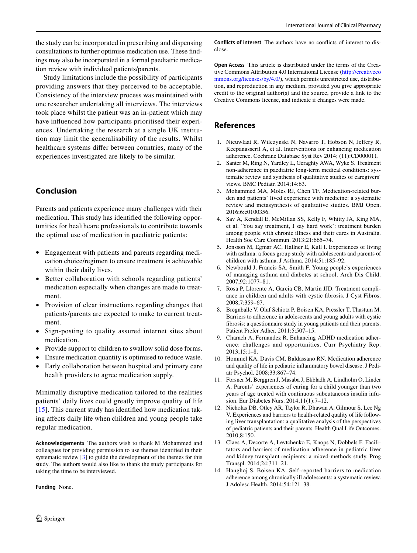the study can be incorporated in prescribing and dispensing consultations to further optimise medication use. These fndings may also be incorporated in a formal paediatric medication review with individual patients/parents.

Study limitations include the possibility of participants providing answers that they perceived to be acceptable. Consistency of the interview process was maintained with one researcher undertaking all interviews. The interviews took place whilst the patient was an in-patient which may have infuenced how participants prioritised their experiences. Undertaking the research at a single UK institution may limit the generalisability of the results. Whilst healthcare systems difer between countries, many of the experiences investigated are likely to be similar.

# **Conclusion**

Parents and patients experience many challenges with their medication. This study has identifed the following opportunities for healthcare professionals to contribute towards the optimal use of medication in paediatric patients:

- Engagement with patients and parents regarding medication choice/regimen to ensure treatment is achievable within their daily lives.
- Better collaboration with schools regarding patients' medication especially when changes are made to treatment.
- Provision of clear instructions regarding changes that patients/parents are expected to make to current treatment.
- Sign-posting to quality assured internet sites about medication.
- Provide support to children to swallow solid dose forms.
- Ensure medication quantity is optimised to reduce waste.
- Early collaboration between hospital and primary care health providers to agree medication supply.

Minimally disruptive medication tailored to the realities patients' daily lives could greatly improve quality of life  $[15]$ . This current study has identified how medication taking afects daily life when children and young people take regular medication.

**Acknowledgements** The authors wish to thank M Mohammed and colleagues for providing permission to use themes identifed in their systematic review [\[3\]](#page-7-2) to guide the development of the themes for this study. The authors would also like to thank the study participants for taking the time to be interviewed.

**Funding** None.

**Conflicts of interest** The authors have no conficts of interest to disclose.

**Open Access** This article is distributed under the terms of the Creative Commons Attribution 4.0 International License ([http://creativeco](http://creativecommons.org/licenses/by/4.0/) [mmons.org/licenses/by/4.0/](http://creativecommons.org/licenses/by/4.0/)), which permits unrestricted use, distribution, and reproduction in any medium, provided you give appropriate credit to the original author(s) and the source, provide a link to the Creative Commons license, and indicate if changes were made.

# **References**

- <span id="page-7-0"></span>1. Nieuwlaat R, Wilczynski N, Navarro T, Hobson N, Jefery R, Keepanasseril A, et al. Interventions for enhancing medication adherence. Cochrane Database Syst Rev 2014; (11):CD000011.
- <span id="page-7-1"></span>2. Santer M, Ring N, Yardley L, Geraghty AWA, Wyke S. Treatment non-adherence in paediatric long-term medical conditions: systematic review and synthesis of qualitative studies of caregivers' views. BMC Pediatr. 2014;14:63.
- <span id="page-7-2"></span>3. Mohammed MA, Moles RJ, Chen TF. Medication-related burden and patients' lived experience with medicine: a systematic review and metasynthesis of qualitative studies. BMJ Open. 2016;6:e0100356.
- <span id="page-7-3"></span>4. Sav A, Kendall E, McMillan SS, Kelly F, Whitty JA, King MA, et al. 'You say treatment, I say hard work': treatment burden among people with chronic illness and their cares in Australia. Health Soc Care Commun. 2013;21:665–74.
- <span id="page-7-4"></span>5. Jonsson M, Egmar AC, Hallner E, Kull I. Experiences of living with asthma: a focus group study with adolescents and parents of children with asthma. J Asthma. 2014;51:185–92.
- <span id="page-7-5"></span>6. Newbould J, Francis SA, Smith F. Young people's experiences of managing asthma and diabetes at school. Arch Dis Child. 2007;92:1077–81.
- <span id="page-7-6"></span>7. Rosa P, Llorente A, Garcia CB, Martin JJD. Treatment compliance in children and adults with cystic fbrosis. J Cyst Fibros. 2008;7:359–67.
- <span id="page-7-7"></span>8. Bregnballe V, Oluf Schiotz P, Boisen KA, Pressler T, Thastum M. Barriers to adherence in adolescents and young adults with cystic fbrosis: a questionnaire study in young patients and their parents. Patient Prefer Adher. 2011;5:507–15.
- <span id="page-7-8"></span>9. Charach A, Fernandez R. Enhancing ADHD medication adherence: challenges and opportunities. Curr Psychiatry Rep. 2013;15:1–8.
- <span id="page-7-9"></span>10. Hommel KA, Davis CM, Baldassano RN. Medication adherence and quality of life in pediatric infammatory bowel disease. J Pediatr Psychol. 2008;33:867–74.
- <span id="page-7-10"></span>11. Forsner M, Berggren J, Masaba J, Ekbladh A, Lindholm O, Linder A. Parents' experiences of caring for a child younger than two years of age treated with continuous subcutaneous insulin infusion. Eur Diabetes Nurs. 2014;11(1):7–12.
- <span id="page-7-11"></span>12. Nicholas DB, Otley AR, Taylor R, Dhawan A, Gilmour S, Lee Ng V. Experiences and barriers to health-related quality of life following liver transplantation: a qualitative analysis of the perspectives of pediatric patients and their parents. Health Qual Life Outcomes. 2010;8:150.
- <span id="page-7-12"></span>13. Claes A, Decorte A, Levtchenko E, Knops N, Dobbels F. Facilitators and barriers of medication adherence in pediatric liver and kidney transplant recipients: a mixed-methods study. Prog Transpl. 2014;24:311–21.
- <span id="page-7-13"></span>14. Hanghoj S, Boisen KA. Self-reported barriers to medication adherence among chronically ill adolescents: a systematic review. J Adolesc Health. 2014;54:121–38.